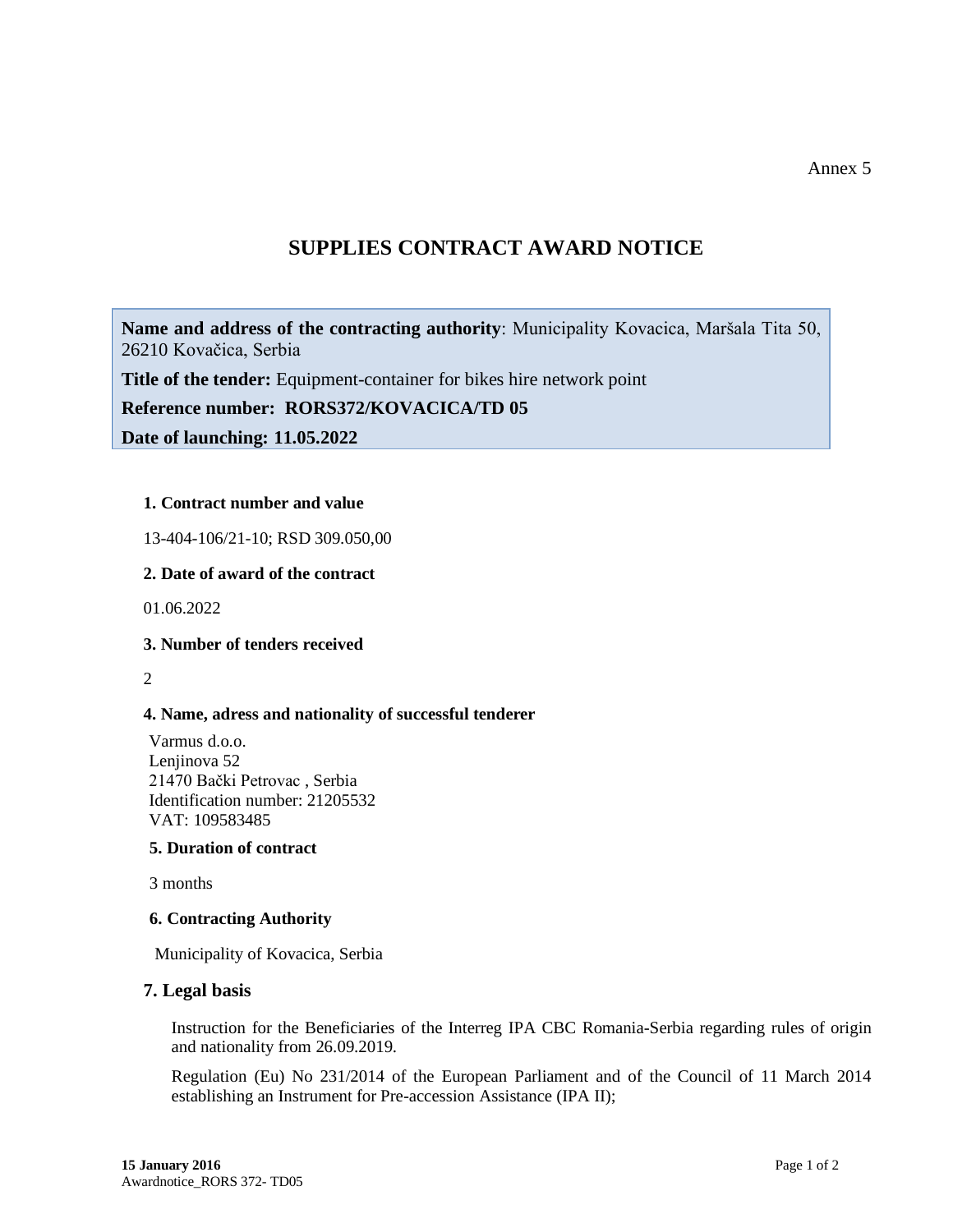Annex 5

# **SUPPLIES CONTRACT AWARD NOTICE**

**Name and address of the contracting authority**: Municipality Kovacica, Maršala Tita 50, 26210 Kovačica, Serbia

**Title of the tender:** Equipment-container for bikes hire network point

**Reference number: RORS372/KOVACICA/TD 05**

**Date of launching: 11.05.2022**

### **1. Contract number and value**

13-404-106/21-10; RSD 309.050,00

### **2. Date of award of the contract**

01.06.2022

### **3. Number of tenders received**

2

### **4. Name, adress and nationality of successful tenderer**

Varmus d.o.o. Lenjinova 52 21470 Bački Petrovac , Serbia Identification number: 21205532 VAT: 109583485

## **5. Duration of contract**

3 months

### **6. Contracting Authority**

Municipality of Kovacica, Serbia

### **7. Legal basis**

Instruction for the Beneficiaries of the Interreg IPA CBC Romania-Serbia regarding rules of origin and nationality from 26.09.2019.

Regulation (Eu) No 231/2014 of the European Parliament and of the Council of 11 March 2014 establishing an Instrument for Pre-accession Assistance (IPA II);